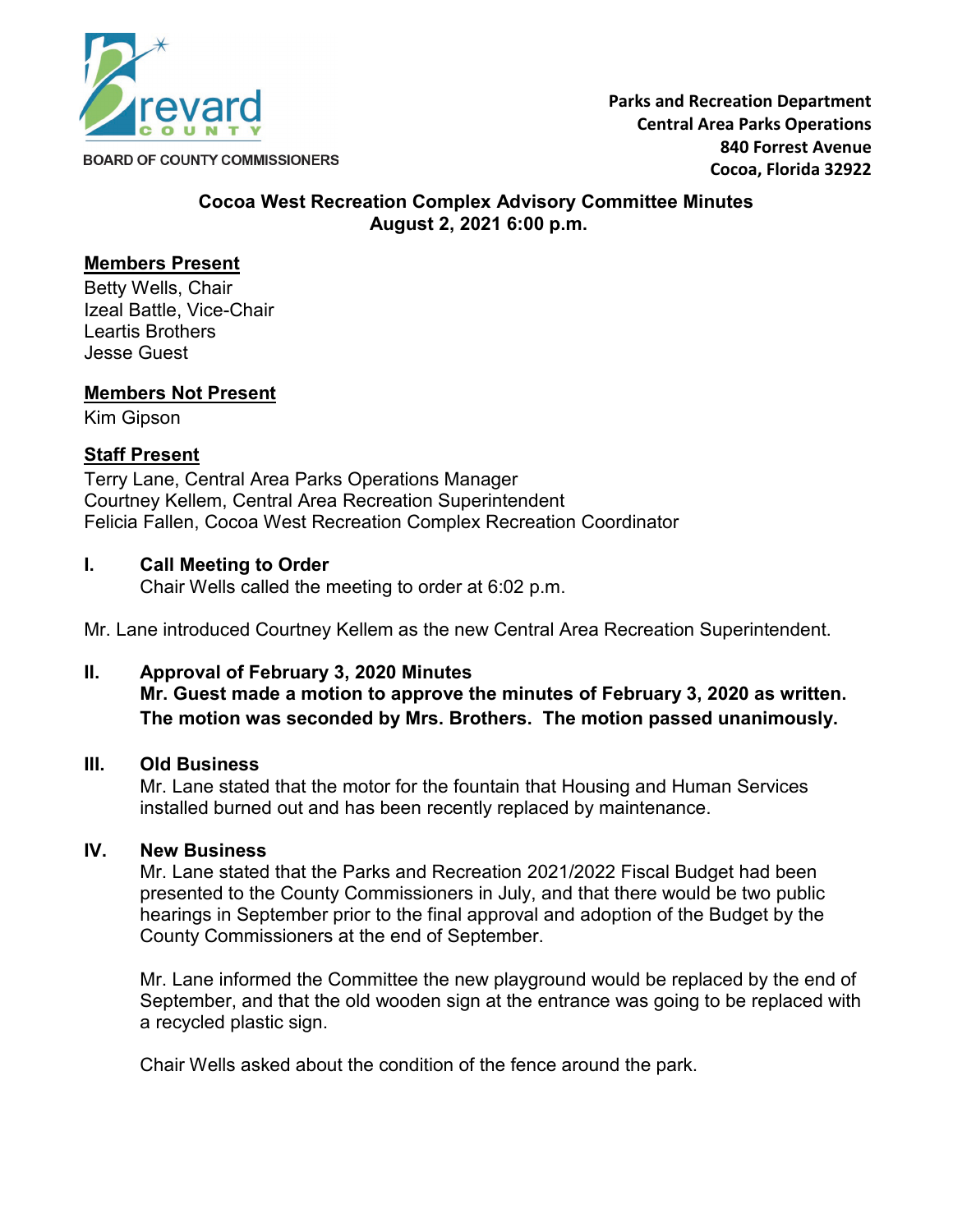

**BOARD OF COUNTY COMMISSIONERS** 

#### **Cocoa West Recreation Complex Advisory Committee Minutes August 2, 2021 6:00 p.m.**

# **Members Present**

Betty Wells, Chair Izeal Battle, Vice-Chair Leartis Brothers Jesse Guest

# **Members Not Present**

Kim Gipson

# **Staff Present**

Terry Lane, Central Area Parks Operations Manager Courtney Kellem, Central Area Recreation Superintendent Felicia Fallen, Cocoa West Recreation Complex Recreation Coordinator

#### **I. Call Meeting to Order**

Chair Wells called the meeting to order at 6:02 p.m.

Mr. Lane introduced Courtney Kellem as the new Central Area Recreation Superintendent.

# **II. Approval of February 3, 2020 Minutes**

**Mr. Guest made a motion to approve the minutes of February 3, 2020 as written. The motion was seconded by Mrs. Brothers. The motion passed unanimously.**

#### **III. Old Business**

Mr. Lane stated that the motor for the fountain that Housing and Human Services installed burned out and has been recently replaced by maintenance.

# **IV. New Business**

Mr. Lane stated that the Parks and Recreation 2021/2022 Fiscal Budget had been presented to the County Commissioners in July, and that there would be two public hearings in September prior to the final approval and adoption of the Budget by the County Commissioners at the end of September.

Mr. Lane informed the Committee the new playground would be replaced by the end of September, and that the old wooden sign at the entrance was going to be replaced with a recycled plastic sign.

Chair Wells asked about the condition of the fence around the park.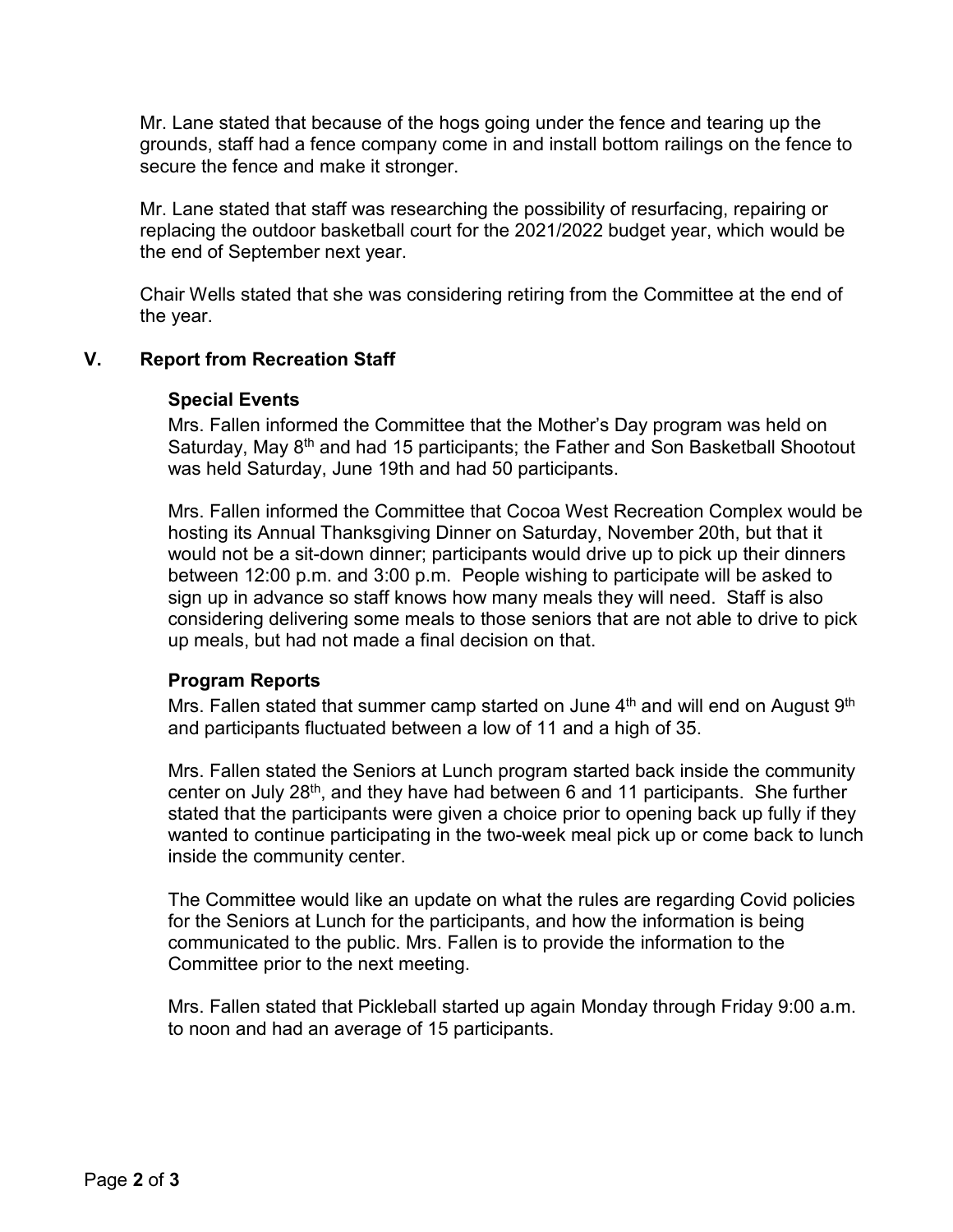Mr. Lane stated that because of the hogs going under the fence and tearing up the grounds, staff had a fence company come in and install bottom railings on the fence to secure the fence and make it stronger.

Mr. Lane stated that staff was researching the possibility of resurfacing, repairing or replacing the outdoor basketball court for the 2021/2022 budget year, which would be the end of September next year.

Chair Wells stated that she was considering retiring from the Committee at the end of the year.

# **V. Report from Recreation Staff**

# **Special Events**

Mrs. Fallen informed the Committee that the Mother's Day program was held on Saturday, May 8<sup>th</sup> and had 15 participants; the Father and Son Basketball Shootout was held Saturday, June 19th and had 50 participants.

Mrs. Fallen informed the Committee that Cocoa West Recreation Complex would be hosting its Annual Thanksgiving Dinner on Saturday, November 20th, but that it would not be a sit-down dinner; participants would drive up to pick up their dinners between 12:00 p.m. and 3:00 p.m. People wishing to participate will be asked to sign up in advance so staff knows how many meals they will need. Staff is also considering delivering some meals to those seniors that are not able to drive to pick up meals, but had not made a final decision on that.

# **Program Reports**

Mrs. Fallen stated that summer camp started on June  $4<sup>th</sup>$  and will end on August  $9<sup>th</sup>$ and participants fluctuated between a low of 11 and a high of 35.

Mrs. Fallen stated the Seniors at Lunch program started back inside the community center on July 28<sup>th</sup>, and they have had between 6 and 11 participants. She further stated that the participants were given a choice prior to opening back up fully if they wanted to continue participating in the two-week meal pick up or come back to lunch inside the community center.

The Committee would like an update on what the rules are regarding Covid policies for the Seniors at Lunch for the participants, and how the information is being communicated to the public. Mrs. Fallen is to provide the information to the Committee prior to the next meeting.

Mrs. Fallen stated that Pickleball started up again Monday through Friday 9:00 a.m. to noon and had an average of 15 participants.